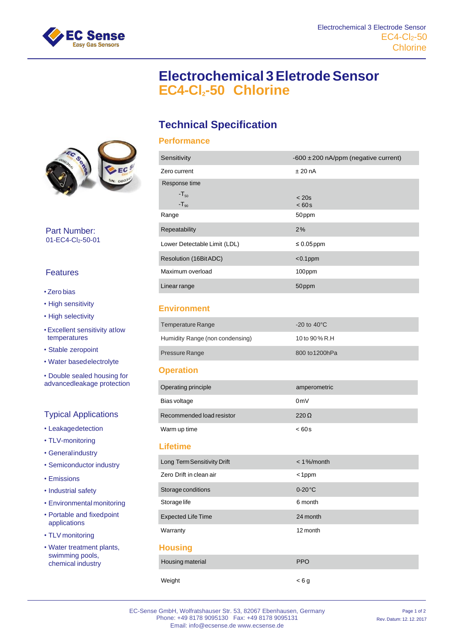

# **Electrochemical 3EletrodeSensor EC4-Cl2-50 Chlorine**

# **Technical Specification**

#### **Performance**

| Sensitivity                  | $-600 \pm 200$ nA/ppm (negative current) |
|------------------------------|------------------------------------------|
| Zero current                 | $±$ 20 nA                                |
| Response time                |                                          |
| $-T_{50}$<br>$-T_{90}$       | $<$ 20s<br>< 60s                         |
| Range                        | 50 <sub>ppm</sub>                        |
| Repeatability                | 2%                                       |
| Lower Detectable Limit (LDL) | $\leq 0.05$ ppm                          |
| Resolution (16Bit ADC)       | $< 0.1$ ppm                              |
| Maximum overload             | 100ppm                                   |
| Linear range                 | 50ppm                                    |

#### **Environment**

| <b>Temperature Range</b>        | $-20$ to $40^{\circ}$ C |
|---------------------------------|-------------------------|
| Humidity Range (non condensing) | 10 to 90 % R.H          |
| <b>Pressure Range</b>           | 800 to 1200hPa          |

#### **Operation**

| Operating principle       | amperometric   |
|---------------------------|----------------|
| Bias voltage              | 0 <sub>m</sub> |
| Recommended load resistor | $220 \Omega$   |
| Warm up time              | <60s           |
|                           |                |

### **Lifetime**

| Long Term Sensitivity Drift | $< 1\%$ /month |
|-----------------------------|----------------|
| Zero Drift in clean air     | $<$ 1ppm       |
| Storage conditions          | $0-20$ °C      |
| Storage life                | 6 month        |
| <b>Expected Life Time</b>   | 24 month       |
| Warranty                    | 12 month       |
| <b>Housing</b>              |                |
| Housing material            | <b>PPO</b>     |
| Weight                      | < 6a           |



Part Number: 01-EC4-Cl<sub>2</sub>-50-01

## Features

#### • Zero bias

- High sensitivity
- High selectivity
- Excellent sensitivity atlow temperatures
- Stable zeropoint
- Water basedelectrolyte
- Double sealed housing for advancedleakage protection

## Typical Applications

- Leakagedetection
- TLV-monitoring
- Generalindustry
- Semiconductor industry
- Emissions
- Industrial safety
- Environmental monitoring
- Portable and fixedpoint applications
- TLV monitoring
- Water treatment plants, swimming pools, chemical industry